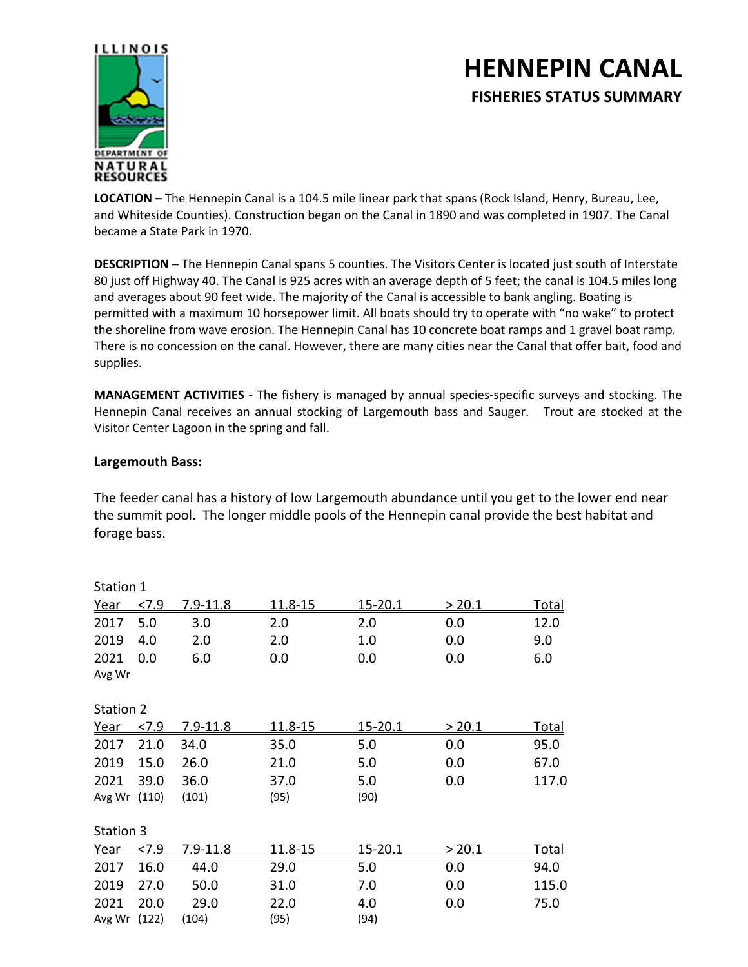## **HENNEPIN CANAL FISHERIES STATUS SUMMARY**



**LOCATION –** The Hennepin Canal is a 104.5 mile linear park that spans (Rock Island, Henry, Bureau, Lee, and Whiteside Counties). Construction began on the Canal in 1890 and was completed in 1907. The Canal became a State Park in 1970.

**DESCRIPTION –** The Hennepin Canal spans 5 counties. The Visitors Center is located just south of Interstate 80 just off Highway 40. The Canal is 925 acres with an average depth of 5 feet; the canal is 104.5 miles long and averages about 90 feet wide. The majority of the Canal is accessible to bank angling. Boating is permitted with a maximum 10 horsepower limit. All boats should try to operate with "no wake" to protect the shoreline from wave erosion. The Hennepin Canal has 10 concrete boat ramps and 1 gravel boat ramp. There is no concession on the canal. However, there are many cities near the Canal that offer bait, food and supplies.

**MANAGEMENT ACTIVITIES -** The fishery is managed by annual species-specific surveys and stocking. The Hennepin Canal receives an annual stocking of Largemouth bass and Sauger. Trout are stocked at the Visitor Center Lagoon in the spring and fall.

## **Largemouth Bass:**

The feeder canal has a history of low Largemouth abundance until you get to the lower end near the summit pool. The longer middle pools of the Hennepin canal provide the best habitat and forage bass.

| Station 1    |       |              |         |             |        |              |
|--------------|-------|--------------|---------|-------------|--------|--------------|
| Year         | 27.9  | 7.9-11.8     | 11.8-15 | $15 - 20.1$ | > 20.1 | <u>Total</u> |
| 2017         | 5.0   | 3.0          | 2.0     | 2.0         | 0.0    | 12.0         |
| 2019         | 4.0   | 2.0          | 2.0     | 1.0         | 0.0    | 9.0          |
| 2021         | 0.0   | 6.0          | 0.0     | 0.0         | 0.0    | 6.0          |
| Avg Wr       |       |              |         |             |        |              |
| Station 2    |       |              |         |             |        |              |
| Year         | 27.9  | $7.9 - 11.8$ | 11.8-15 | 15-20.1     | > 20.1 | <u>Total</u> |
| 2017         | 21.0  | 34.0         | 35.0    | 5.0         | 0.0    | 95.0         |
| 2019         | 15.0  | 26.0         | 21.0    | 5.0         | 0.0    | 67.0         |
| 2021         | 39.0  | 36.0         | 37.0    | 5.0         | 0.0    | 117.0        |
| Avg Wr (110) |       | (101)        | (95)    | (90)        |        |              |
| Station 3    |       |              |         |             |        |              |
| <u>Year</u>  | 27.9  | 7.9-11.8     | 11.8-15 | 15-20.1     | > 20.1 | <u>Total</u> |
| 2017         | 16.0  | 44.0         | 29.0    | 5.0         | 0.0    | 94.0         |
| 2019         | 27.0  | 50.0         | 31.0    | 7.0         | 0.0    | 115.0        |
| 2021         | 20.0  | 29.0         | 22.0    | 4.0         | 0.0    | 75.0         |
| Avg Wr       | (122) | (104)        | (95)    | (94)        |        |              |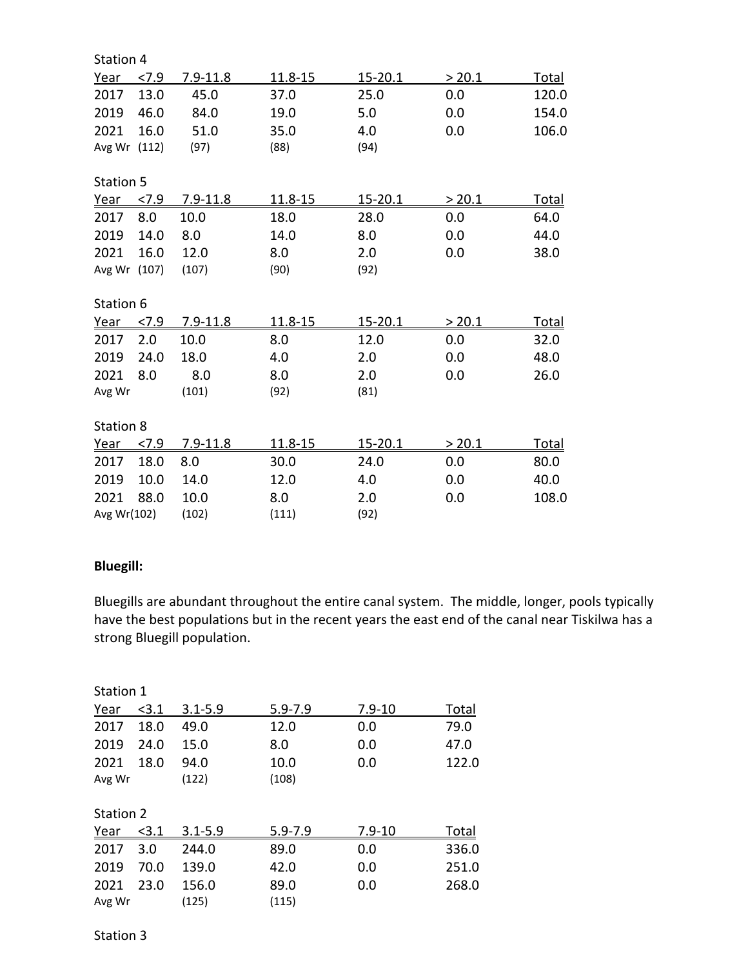| Station 4    |      |              |         |                |        |              |
|--------------|------|--------------|---------|----------------|--------|--------------|
| Year         | 27.9 | $7.9 - 11.8$ | 11.8-15 | 15-20.1        | > 20.1 | <b>Total</b> |
| 2017         | 13.0 | 45.0         | 37.0    | 25.0           | 0.0    | 120.0        |
| 2019         | 46.0 | 84.0         | 19.0    | 5.0            | 0.0    | 154.0        |
| 2021         | 16.0 | 51.0         | 35.0    | 4.0            | 0.0    | 106.0        |
| Avg Wr (112) |      | (97)         | (88)    | (94)           |        |              |
| Station 5    |      |              |         |                |        |              |
| Year         | 27.9 | $7.9 - 11.8$ | 11.8-15 | 15-20.1        | > 20.1 | <u>Total</u> |
| 2017         | 8.0  | 10.0         | 18.0    | 28.0           | 0.0    | 64.0         |
| 2019         | 14.0 | 8.0          | 14.0    | 8.0            | 0.0    | 44.0         |
| 2021         | 16.0 | 12.0         | 8.0     | 2.0            | 0.0    | 38.0         |
| Avg Wr (107) |      | (107)        | (90)    | (92)           |        |              |
| Station 6    |      |              |         |                |        |              |
| <u>Year</u>  | 27.9 | $7.9 - 11.8$ | 11.8-15 | <u>15-20.1</u> | > 20.1 | <u>Total</u> |
| 2017         | 2.0  | 10.0         | 8.0     | 12.0           | 0.0    | 32.0         |
| 2019         | 24.0 | 18.0         | 4.0     | 2.0            | 0.0    | 48.0         |
| 2021         | 8.0  | 8.0          | 8.0     | 2.0            | 0.0    | 26.0         |
| Avg Wr       |      | (101)        | (92)    | (81)           |        |              |
| Station 8    |      |              |         |                |        |              |
| <u>Year</u>  | 27.9 | $7.9 - 11.8$ | 11.8-15 | $15 - 20.1$    | > 20.1 | <u>Total</u> |
| 2017         | 18.0 | 8.0          | 30.0    | 24.0           | 0.0    | 80.0         |
| 2019         | 10.0 | 14.0         | 12.0    | 4.0            | 0.0    | 40.0         |
| 2021         | 88.0 | 10.0         | 8.0     | 2.0            | 0.0    | 108.0        |
| Avg Wr(102)  |      | (102)        | (111)   | (92)           |        |              |

## **Bluegill:**

Bluegills are abundant throughout the entire canal system. The middle, longer, pools typically have the best populations but in the recent years the east end of the canal near Tiskilwa has a strong Bluegill population.

| Station 1   |       |             |             |            |              |
|-------------|-------|-------------|-------------|------------|--------------|
| <u>Year</u> | < 3.1 | $3.1 - 5.9$ | $5.9 - 7.9$ | $7.9 - 10$ | <b>Total</b> |
| 2017        | 18.0  | 49.0        | 12.0        | 0.0        | 79.0         |
| 2019        | 24.0  | 15.0        | 8.0         | 0.0        | 47.0         |
| 2021        | 18.0  | 94.0        | 10.0        | 0.0        | 122.0        |
| Avg Wr      |       | (122)       | (108)       |            |              |
| Station 2   |       |             |             |            |              |
| <u>Year</u> | < 3.1 | $3.1 - 5.9$ | $5.9 - 7.9$ | $7.9 - 10$ | <u>Total</u> |
| 2017        | 3.0   | 244.0       | 89.0        | 0.0        | 336.0        |
| 2019        | 70.0  | 139.0       | 42.0        | 0.0        | 251.0        |
| 2021        | 23.0  | 156.0       | 89.0        | 0.0        | 268.0        |
| Avg Wr      |       | (125)       | (115)       |            |              |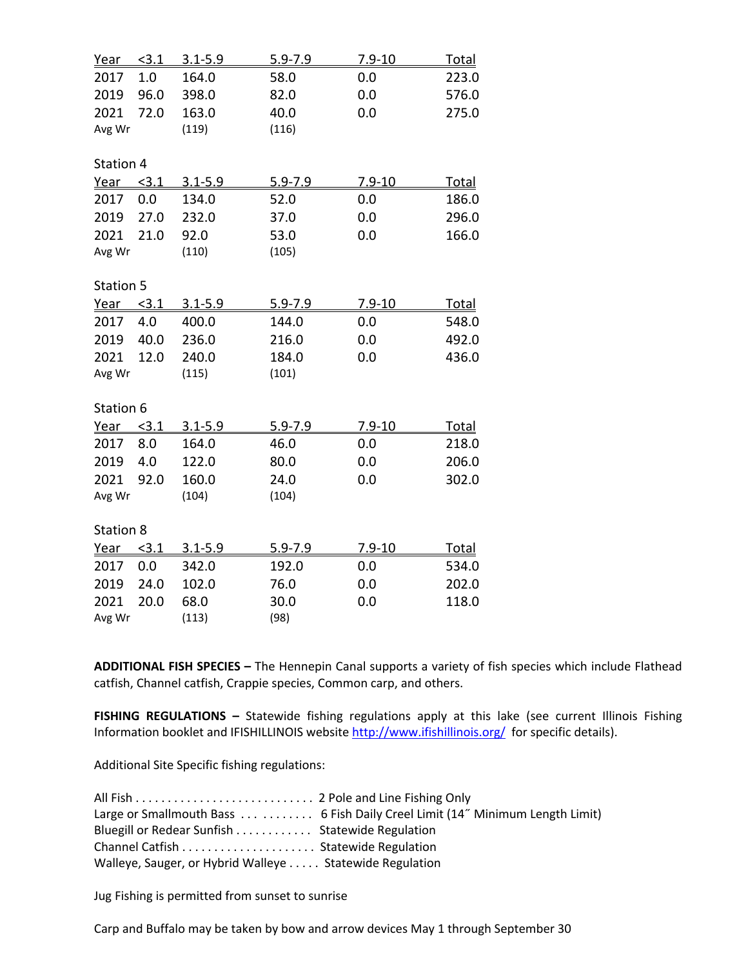| Year        | < 3.1          | $3.1 - 5.9$    | $5.9 - 7.9$    | $7.9 - 10$ | <u>Total</u> |  |
|-------------|----------------|----------------|----------------|------------|--------------|--|
| 2017        | 1.0            | 164.0          | 58.0           | 0.0        | 223.0        |  |
| 2019        | 96.0           | 398.0          | 82.0           | 0.0        | 576.0        |  |
| 2021        | 72.0           | 163.0          | 40.0           | 0.0        | 275.0        |  |
| Avg Wr      |                | (119)          | (116)          |            |              |  |
|             |                |                |                |            |              |  |
| Station 4   |                |                |                |            |              |  |
| Year        | < 3.1          | $3.1 - 5.9$    | $5.9 - 7.9$    | $7.9 - 10$ | <u>Total</u> |  |
| 2017        | 0.0            | 134.0          | 52.0           | 0.0        | 186.0        |  |
| 2019        | 27.0           | 232.0          | 37.0           | 0.0        | 296.0        |  |
| 2021        | 21.0           | 92.0           | 53.0           | 0.0        | 166.0        |  |
| Avg Wr      |                | (110)          | (105)          |            |              |  |
|             |                |                |                |            |              |  |
| Station 5   |                |                |                |            |              |  |
| <u>Year</u> | <u>&lt;3.1</u> | <u>3.1-5.9</u> | <u>5.9-7.9</u> | 7.9-10     | <u>Total</u> |  |
| 2017        | 4.0            | 400.0          | 144.0          | 0.0        | 548.0        |  |
| 2019        | 40.0           | 236.0          | 216.0          | 0.0        | 492.0        |  |
| 2021        | 12.0           | 240.0          | 184.0          | 0.0        | 436.0        |  |
| Avg Wr      |                | (115)          | (101)          |            |              |  |
|             |                |                |                |            |              |  |
| Station 6   |                |                |                |            |              |  |
| Year        | < 3.1          | $3.1 - 5.9$    | $5.9 - 7.9$    | $7.9 - 10$ | <u>Total</u> |  |
| 2017        | 8.0            | 164.0          | 46.0           | 0.0        | 218.0        |  |
| 2019        | 4.0            | 122.0          | 80.0           | 0.0        | 206.0        |  |
| 2021        | 92.0           | 160.0          | 24.0           | 0.0        | 302.0        |  |
| Avg Wr      |                | (104)          | (104)          |            |              |  |
|             |                |                |                |            |              |  |
| Station 8   |                |                |                |            |              |  |
| Year        | < 3.1          | $3.1 - 5.9$    | $5.9 - 7.9$    | $7.9 - 10$ | <u>Total</u> |  |
| 2017        | 0.0            | 342.0          | 192.0          | 0.0        | 534.0        |  |
| 2019        | 24.0           | 102.0          | 76.0           | 0.0        | 202.0        |  |
| 2021        | 20.0           | 68.0           | 30.0           | 0.0        | 118.0        |  |
| Avg Wr      |                | (113)          | (98)           |            |              |  |

**ADDITIONAL FISH SPECIES –** The Hennepin Canal supports a variety of fish species which include Flathead catfish, Channel catfish, Crappie species, Common carp, and others.

**FISHING REGULATIONS –** Statewide fishing regulations apply at this lake (see current Illinois Fishing Information booklet and IFISHILLINOIS website http://www.ifishillinois.org/ for specific details).

Additional Site Specific fishing regulations:

|                                                         | Large or Smallmouth Bass 6 Fish Daily Creel Limit (14" Minimum Length Limit) |
|---------------------------------------------------------|------------------------------------------------------------------------------|
| Bluegill or Redear Sunfish Statewide Regulation         |                                                                              |
|                                                         |                                                                              |
| Walleye, Sauger, or Hybrid Walleye Statewide Regulation |                                                                              |

Jug Fishing is permitted from sunset to sunrise

Carp and Buffalo may be taken by bow and arrow devices May 1 through September 30